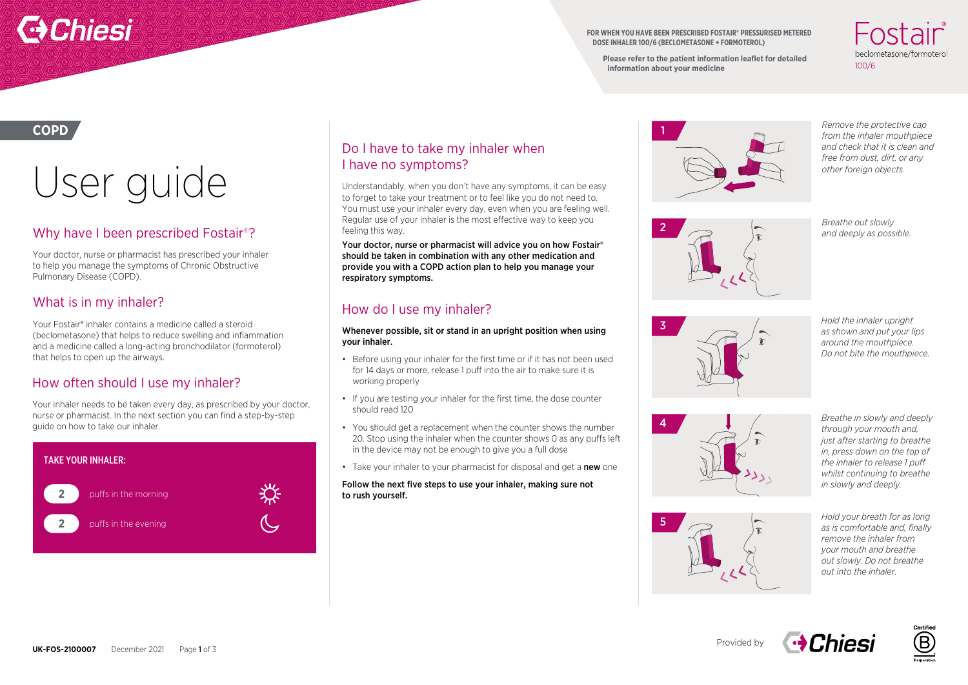# **Chiesi**

**FOR WHEN YOU HAVE BEEN PRESCRIBED FOSTAIR® PRESSURISED METERED DOSE INHALER 100/6 (BECLOMETASONE + FORMOTEROL)**

**Please refer to the patient information leaflet for detailed information about your medicine**

.nctair beclometasone/formoterol  $100/6$ 

### **COPD**

# User guide

# Why have I been prescribed Fostair®?

Your doctor, nurse or pharmacist has prescribed your inhaler to help you manage the symptoms of Chronic Obstructive Pulmonary Disease (COPD).

# What is in my inhaler?

Your Fostair® inhaler contains a medicine called a steroid (beclometasone) that helps to reduce swelling and inflammation and a medicine called a long-acting bronchodilator (formoterol) that helps to open up the airways.

## How often should I use my inhaler?

Your inhaler needs to be taken every day, as prescribed by your doctor, nurse or pharmacist. In the next section you can find a step-by-step guide on how to take our inhaler.



## Do I have to take my inhaler when I have no symptoms?

Understandably, when you don't have any symptoms, it can be easy to forget to take your treatment or to feel like you do not need to. You must use your inhaler every day, even when you are feeling well. Regular use of your inhaler is the most effective way to keep you feeling this way.

Your doctor, nurse or pharmacist will advice you on how Fostair® should be taken in combination with any other medication and provide you with a COPD action plan to help you manage your respiratory symptoms.

## How do I use my inhaler?

Whenever possible, sit or stand in an upright position when using your inhaler.

- Before using your inhaler for the first time or if it has not been used for 14 days or more, release 1 puff into the air to make sure it is working properly
- If you are testing your inhaler for the first time, the dose counter should read 120
- You should get a replacement when the counter shows the number 20. Stop using the inhaler when the counter shows 0 as any puffs left in the device may not be enough to give you a full dose
- Take your inhaler to your pharmacist for disposal and get a new one

### Follow the next five steps to use your inhaler, making sure not to rush yourself.



*Remove the protective cap from the inhaler mouthpiece and check that it is clean and free from dust, dirt, or any other foreign objects.*



3

*Breathe out slowly and deeply as possible.*

*Hold the inhaler upright as shown and put your lips around the mouthpiece. Do not bite the mouthpiece.*



*Breathe in slowly and deeply through your mouth and, just after starting to breathe in, press down on the top of the inhaler to release 1 puff whilst continuing to breathe in slowly and deeply.*

5

*Hold your breath for as long as is comfortable and, finally remove the inhaler from your mouth and breathe out slowly. Do not breathe out into the inhaler.*

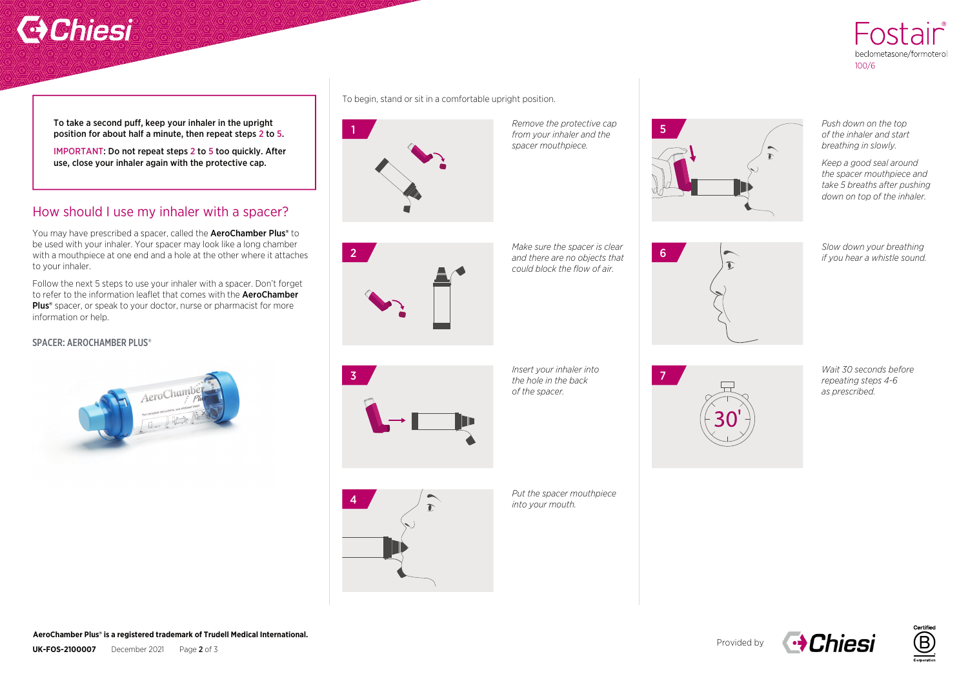# **C** Chiesi



To take a second puff, keep your inhaler in the upright position for about half a minute, then repeat steps 2 to 5.

IMPORTANT: Do not repeat steps 2 to 5 too quickly. After use, close your inhaler again with the protective cap.

# How should I use my inhaler with a spacer?

You may have prescribed a spacer, called the **AeroChamber Plus®** to be used with your inhaler. Your spacer may look like a long chamber with a mouthpiece at one end and a hole at the other where it attaches to your inhaler.

Follow the next 5 steps to use your inhaler with a spacer. Don't forget to refer to the information leaflet that comes with the **AeroChamber** Plus<sup>®</sup> spacer, or speak to your doctor, nurse or pharmacist for more information or help.

### SPACER: AEROCHAMBER PLUS®



To begin, stand or sit in a comfortable upright position.



*Remove the protective cap spacer mouthpiece.* 



*Push down on the top of the inhaler and start breathing in slowly.* 

*Keep a good seal around the spacer mouthpiece and take 5 breaths after pushing down on top of the inhaler.* 

*Slow down your breathing if you hear a whistle sound.* 



*Make sure the spacer is clear could block the flow of air.* 



*Insert your inhaler into of the spacer.* 



*Wait 30 seconds before repeating steps 4-6 as prescribed.* 



*Put the spacer mouthpiece into your mouth.*